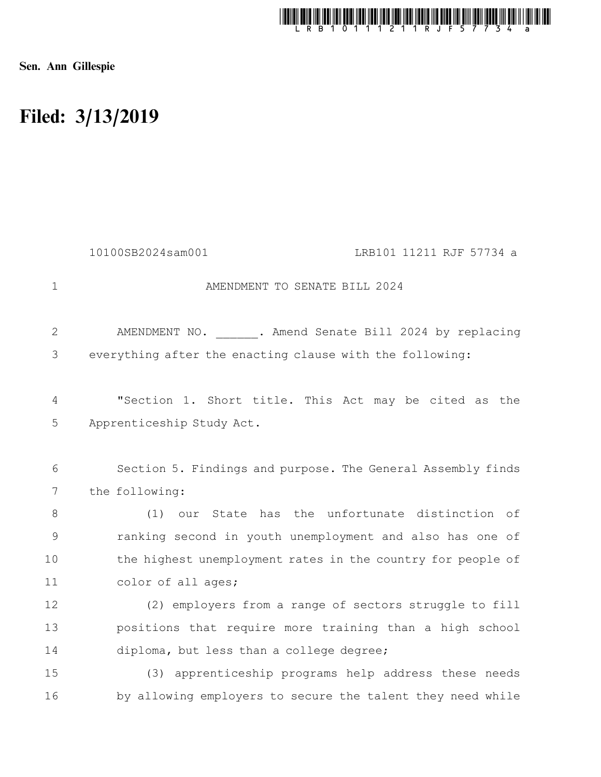

Sen. Ann Gillespie

## Filed: 3/13/2019

|                 | 10100SB2024sam001<br>LRB101 11211 RJF 57734 a               |
|-----------------|-------------------------------------------------------------|
| $\mathbf 1$     | AMENDMENT TO SENATE BILL 2024                               |
| $\overline{2}$  | AMENDMENT NO. . Amend Senate Bill 2024 by replacing         |
| 3               | everything after the enacting clause with the following:    |
| 4               | "Section 1. Short title. This Act may be cited as the       |
| 5               | Apprenticeship Study Act.                                   |
| 6               | Section 5. Findings and purpose. The General Assembly finds |
| $7\overline{ }$ | the following:                                              |
| 8               | our State has the unfortunate distinction of<br>(1)         |
| $\mathcal{G}$   | ranking second in youth unemployment and also has one of    |
| 10              | the highest unemployment rates in the country for people of |
| 11              | color of all ages;                                          |
| 12              | (2) employers from a range of sectors struggle to fill      |
| 13              | positions that require more training than a high school     |
| 14              | diploma, but less than a college degree;                    |
| 15              | (3) apprenticeship programs help address these needs        |
| 16              | by allowing employers to secure the talent they need while  |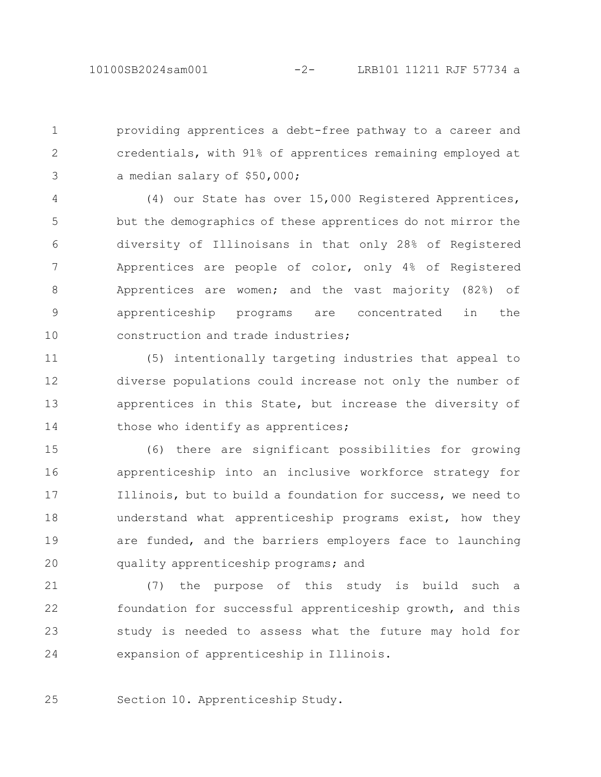providing apprentices a debt-free pathway to a career and credentials, with 91% of apprentices remaining employed at a median salary of \$50,000; 1 2 3

(4) our State has over 15,000 Registered Apprentices, but the demographics of these apprentices do not mirror the diversity of Illinoisans in that only 28% of Registered Apprentices are people of color, only 4% of Registered Apprentices are women; and the vast majority (82%) of apprenticeship programs are concentrated in the construction and trade industries; 4 5 6 7 8 9 10

(5) intentionally targeting industries that appeal to diverse populations could increase not only the number of apprentices in this State, but increase the diversity of those who identify as apprentices; 11 12 13 14

(6) there are significant possibilities for growing apprenticeship into an inclusive workforce strategy for Illinois, but to build a foundation for success, we need to understand what apprenticeship programs exist, how they are funded, and the barriers employers face to launching quality apprenticeship programs; and 15 16 17 18 19 20

(7) the purpose of this study is build such a foundation for successful apprenticeship growth, and this study is needed to assess what the future may hold for expansion of apprenticeship in Illinois. 21 22 23 24

Section 10. Apprenticeship Study. 25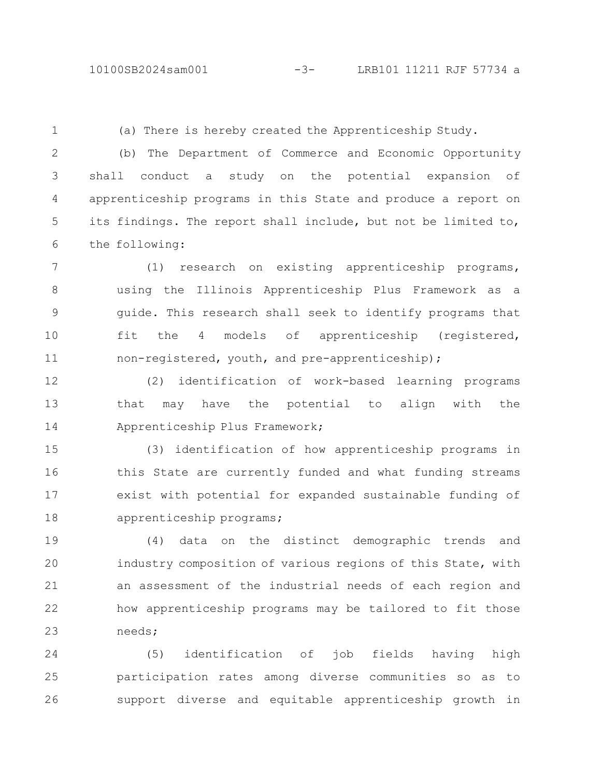1

(a) There is hereby created the Apprenticeship Study.

(b) The Department of Commerce and Economic Opportunity shall conduct a study on the potential expansion of apprenticeship programs in this State and produce a report on its findings. The report shall include, but not be limited to, the following: 2 3 4 5 6

(1) research on existing apprenticeship programs, using the Illinois Apprenticeship Plus Framework as a guide. This research shall seek to identify programs that fit the 4 models of apprenticeship (registered, non-registered, youth, and pre-apprenticeship); 7 8 9 10 11

(2) identification of work-based learning programs that may have the potential to align with the Apprenticeship Plus Framework; 12 13 14

(3) identification of how apprenticeship programs in this State are currently funded and what funding streams exist with potential for expanded sustainable funding of apprenticeship programs; 15 16 17 18

(4) data on the distinct demographic trends and industry composition of various regions of this State, with an assessment of the industrial needs of each region and how apprenticeship programs may be tailored to fit those needs; 19 20 21 22 23

(5) identification of job fields having high participation rates among diverse communities so as to support diverse and equitable apprenticeship growth in 24 25 26